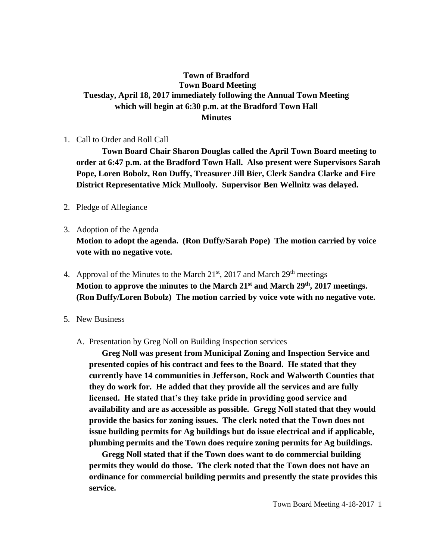## **Town of Bradford Town Board Meeting Tuesday, April 18, 2017 immediately following the Annual Town Meeting which will begin at 6:30 p.m. at the Bradford Town Hall Minutes**

1. Call to Order and Roll Call

**Town Board Chair Sharon Douglas called the April Town Board meeting to order at 6:47 p.m. at the Bradford Town Hall. Also present were Supervisors Sarah Pope, Loren Bobolz, Ron Duffy, Treasurer Jill Bier, Clerk Sandra Clarke and Fire District Representative Mick Mullooly. Supervisor Ben Wellnitz was delayed.**

- 2. Pledge of Allegiance
- 3. Adoption of the Agenda **Motion to adopt the agenda. (Ron Duffy/Sarah Pope) The motion carried by voice vote with no negative vote.**
- 4. Approval of the Minutes to the March  $21<sup>st</sup>$ , 2017 and March  $29<sup>th</sup>$  meetings **Motion to approve the minutes to the March 21st and March 29th, 2017 meetings. (Ron Duffy/Loren Bobolz) The motion carried by voice vote with no negative vote.**
- 5. New Business
	- A. Presentation by Greg Noll on Building Inspection services

**Greg Noll was present from Municipal Zoning and Inspection Service and presented copies of his contract and fees to the Board. He stated that they currently have 14 communities in Jefferson, Rock and Walworth Counties that they do work for. He added that they provide all the services and are fully licensed. He stated that's they take pride in providing good service and availability and are as accessible as possible. Gregg Noll stated that they would provide the basics for zoning issues. The clerk noted that the Town does not issue building permits for Ag buildings but do issue electrical and if applicable, plumbing permits and the Town does require zoning permits for Ag buildings.** 

**Gregg Noll stated that if the Town does want to do commercial building permits they would do those. The clerk noted that the Town does not have an ordinance for commercial building permits and presently the state provides this service.**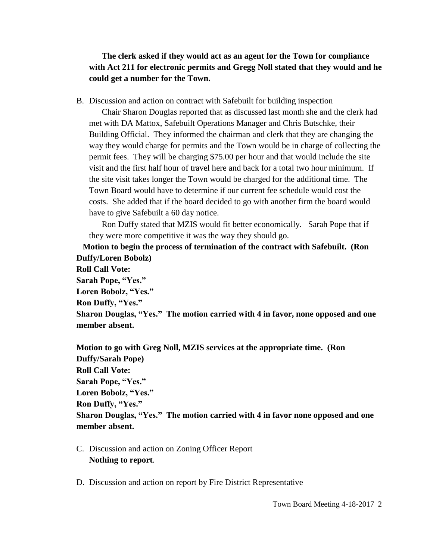**The clerk asked if they would act as an agent for the Town for compliance with Act 211 for electronic permits and Gregg Noll stated that they would and he could get a number for the Town.**

B. Discussion and action on contract with Safebuilt for building inspection

Chair Sharon Douglas reported that as discussed last month she and the clerk had met with DA Mattox, Safebuilt Operations Manager and Chris Butschke, their Building Official. They informed the chairman and clerk that they are changing the way they would charge for permits and the Town would be in charge of collecting the permit fees. They will be charging \$75.00 per hour and that would include the site visit and the first half hour of travel here and back for a total two hour minimum. If the site visit takes longer the Town would be charged for the additional time. The Town Board would have to determine if our current fee schedule would cost the costs. She added that if the board decided to go with another firm the board would have to give Safebuilt a 60 day notice.

Ron Duffy stated that MZIS would fit better economically. Sarah Pope that if they were more competitive it was the way they should go.

 **Motion to begin the process of termination of the contract with Safebuilt. (Ron Duffy/Loren Bobolz) Roll Call Vote: Sarah Pope, "Yes." Loren Bobolz, "Yes." Ron Duffy, "Yes." Sharon Douglas, "Yes." The motion carried with 4 in favor, none opposed and one member absent.**

**Motion to go with Greg Noll, MZIS services at the appropriate time. (Ron Duffy/Sarah Pope) Roll Call Vote: Sarah Pope, "Yes." Loren Bobolz, "Yes." Ron Duffy, "Yes." Sharon Douglas, "Yes." The motion carried with 4 in favor none opposed and one member absent.**

- C. Discussion and action on Zoning Officer Report **Nothing to report**.
- D. Discussion and action on report by Fire District Representative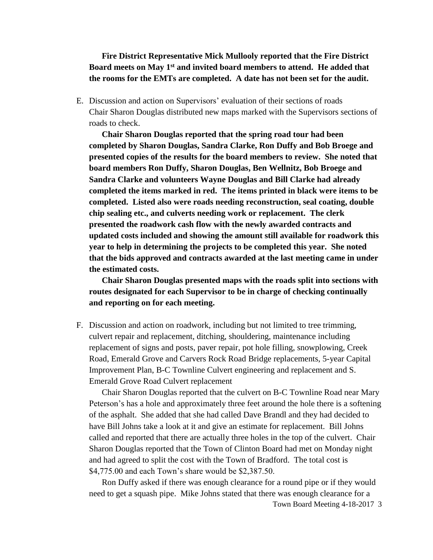## **Fire District Representative Mick Mullooly reported that the Fire District Board meets on May 1st and invited board members to attend. He added that the rooms for the EMTs are completed. A date has not been set for the audit.**

E. Discussion and action on Supervisors' evaluation of their sections of roads Chair Sharon Douglas distributed new maps marked with the Supervisors sections of roads to check.

**Chair Sharon Douglas reported that the spring road tour had been completed by Sharon Douglas, Sandra Clarke, Ron Duffy and Bob Broege and presented copies of the results for the board members to review. She noted that board members Ron Duffy, Sharon Douglas, Ben Wellnitz, Bob Broege and Sandra Clarke and volunteers Wayne Douglas and Bill Clarke had already completed the items marked in red. The items printed in black were items to be completed. Listed also were roads needing reconstruction, seal coating, double chip sealing etc., and culverts needing work or replacement. The clerk presented the roadwork cash flow with the newly awarded contracts and updated costs included and showing the amount still available for roadwork this year to help in determining the projects to be completed this year. She noted that the bids approved and contracts awarded at the last meeting came in under the estimated costs.**

**Chair Sharon Douglas presented maps with the roads split into sections with routes designated for each Supervisor to be in charge of checking continually and reporting on for each meeting.**

F. Discussion and action on roadwork, including but not limited to tree trimming, culvert repair and replacement, ditching, shouldering, maintenance including replacement of signs and posts, paver repair, pot hole filling, snowplowing, Creek Road, Emerald Grove and Carvers Rock Road Bridge replacements, 5-year Capital Improvement Plan, B-C Townline Culvert engineering and replacement and S. Emerald Grove Road Culvert replacement

Chair Sharon Douglas reported that the culvert on B-C Townline Road near Mary Peterson's has a hole and approximately three feet around the hole there is a softening of the asphalt. She added that she had called Dave Brandl and they had decided to have Bill Johns take a look at it and give an estimate for replacement. Bill Johns called and reported that there are actually three holes in the top of the culvert. Chair Sharon Douglas reported that the Town of Clinton Board had met on Monday night and had agreed to split the cost with the Town of Bradford. The total cost is \$4,775.00 and each Town's share would be \$2,387.50.

Town Board Meeting 4-18-2017 3 Ron Duffy asked if there was enough clearance for a round pipe or if they would need to get a squash pipe. Mike Johns stated that there was enough clearance for a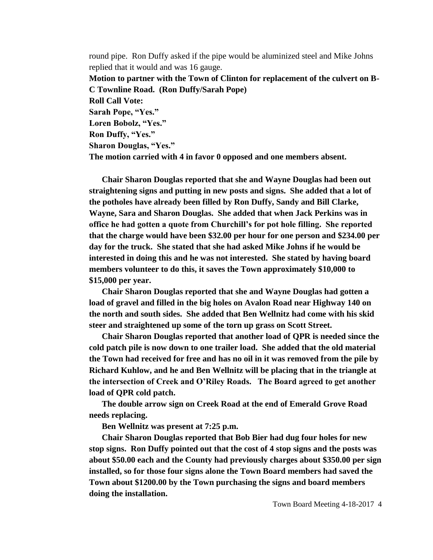round pipe. Ron Duffy asked if the pipe would be aluminized steel and Mike Johns replied that it would and was 16 gauge.

**Motion to partner with the Town of Clinton for replacement of the culvert on B-C Townline Road. (Ron Duffy/Sarah Pope)** 

**Roll Call Vote:**

**Sarah Pope, "Yes."**

**Loren Bobolz, "Yes." Ron Duffy, "Yes."**

**Sharon Douglas, "Yes."**

**The motion carried with 4 in favor 0 opposed and one members absent.**

**Chair Sharon Douglas reported that she and Wayne Douglas had been out straightening signs and putting in new posts and signs. She added that a lot of the potholes have already been filled by Ron Duffy, Sandy and Bill Clarke, Wayne, Sara and Sharon Douglas. She added that when Jack Perkins was in office he had gotten a quote from Churchill's for pot hole filling. She reported that the charge would have been \$32.00 per hour for one person and \$234.00 per day for the truck. She stated that she had asked Mike Johns if he would be interested in doing this and he was not interested. She stated by having board members volunteer to do this, it saves the Town approximately \$10,000 to \$15,000 per year.** 

**Chair Sharon Douglas reported that she and Wayne Douglas had gotten a load of gravel and filled in the big holes on Avalon Road near Highway 140 on the north and south sides. She added that Ben Wellnitz had come with his skid steer and straightened up some of the torn up grass on Scott Street.**

**Chair Sharon Douglas reported that another load of QPR is needed since the cold patch pile is now down to one trailer load. She added that the old material the Town had received for free and has no oil in it was removed from the pile by Richard Kuhlow, and he and Ben Wellnitz will be placing that in the triangle at the intersection of Creek and O'Riley Roads. The Board agreed to get another load of QPR cold patch.** 

**The double arrow sign on Creek Road at the end of Emerald Grove Road needs replacing.**

**Ben Wellnitz was present at 7:25 p.m.**

**Chair Sharon Douglas reported that Bob Bier had dug four holes for new stop signs. Ron Duffy pointed out that the cost of 4 stop signs and the posts was about \$50.00 each and the County had previously charges about \$350.00 per sign installed, so for those four signs alone the Town Board members had saved the Town about \$1200.00 by the Town purchasing the signs and board members doing the installation.**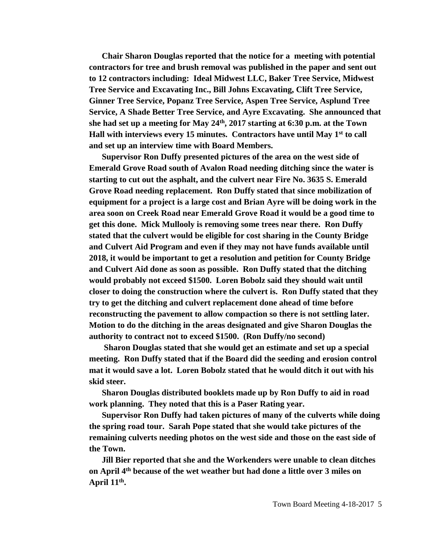**Chair Sharon Douglas reported that the notice for a meeting with potential contractors for tree and brush removal was published in the paper and sent out to 12 contractors including: Ideal Midwest LLC, Baker Tree Service, Midwest Tree Service and Excavating Inc., Bill Johns Excavating, Clift Tree Service, Ginner Tree Service, Popanz Tree Service, Aspen Tree Service, Asplund Tree Service, A Shade Better Tree Service, and Ayre Excavating. She announced that she had set up a meeting for May 24th, 2017 starting at 6:30 p.m. at the Town Hall with interviews every 15 minutes. Contractors have until May 1st to call and set up an interview time with Board Members.**

**Supervisor Ron Duffy presented pictures of the area on the west side of Emerald Grove Road south of Avalon Road needing ditching since the water is starting to cut out the asphalt, and the culvert near Fire No. 3635 S. Emerald Grove Road needing replacement. Ron Duffy stated that since mobilization of equipment for a project is a large cost and Brian Ayre will be doing work in the area soon on Creek Road near Emerald Grove Road it would be a good time to get this done. Mick Mullooly is removing some trees near there. Ron Duffy stated that the culvert would be eligible for cost sharing in the County Bridge and Culvert Aid Program and even if they may not have funds available until 2018, it would be important to get a resolution and petition for County Bridge and Culvert Aid done as soon as possible. Ron Duffy stated that the ditching would probably not exceed \$1500. Loren Bobolz said they should wait until closer to doing the construction where the culvert is. Ron Duffy stated that they try to get the ditching and culvert replacement done ahead of time before reconstructing the pavement to allow compaction so there is not settling later. Motion to do the ditching in the areas designated and give Sharon Douglas the authority to contract not to exceed \$1500. (Ron Duffy/no second)** 

**Sharon Douglas stated that she would get an estimate and set up a special meeting. Ron Duffy stated that if the Board did the seeding and erosion control mat it would save a lot. Loren Bobolz stated that he would ditch it out with his skid steer.** 

**Sharon Douglas distributed booklets made up by Ron Duffy to aid in road work planning. They noted that this is a Paser Rating year.**

**Supervisor Ron Duffy had taken pictures of many of the culverts while doing the spring road tour. Sarah Pope stated that she would take pictures of the remaining culverts needing photos on the west side and those on the east side of the Town.**

**Jill Bier reported that she and the Workenders were unable to clean ditches on April 4th because of the wet weather but had done a little over 3 miles on April 11th .**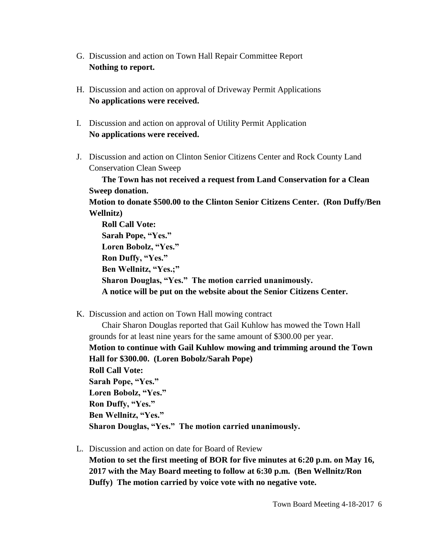- G. Discussion and action on Town Hall Repair Committee Report **Nothing to report.**
- H. Discussion and action on approval of Driveway Permit Applications **No applications were received.**
- I. Discussion and action on approval of Utility Permit Application **No applications were received.**
- J. Discussion and action on Clinton Senior Citizens Center and Rock County Land Conservation Clean Sweep

**The Town has not received a request from Land Conservation for a Clean Sweep donation.** 

**Motion to donate \$500.00 to the Clinton Senior Citizens Center. (Ron Duffy/Ben Wellnitz)** 

**Roll Call Vote: Sarah Pope, "Yes." Loren Bobolz, "Yes." Ron Duffy, "Yes." Ben Wellnitz, "Yes.;" Sharon Douglas, "Yes." The motion carried unanimously. A notice will be put on the website about the Senior Citizens Center.**

K. Discussion and action on Town Hall mowing contract

Chair Sharon Douglas reported that Gail Kuhlow has mowed the Town Hall grounds for at least nine years for the same amount of \$300.00 per year. **Motion to continue with Gail Kuhlow mowing and trimming around the Town Hall for \$300.00. (Loren Bobolz/Sarah Pope) Roll Call Vote: Sarah Pope, "Yes." Loren Bobolz, "Yes." Ron Duffy, "Yes." Ben Wellnitz, "Yes." Sharon Douglas, "Yes." The motion carried unanimously.**

L. Discussion and action on date for Board of Review

**Motion to set the first meeting of BOR for five minutes at 6:20 p.m. on May 16, 2017 with the May Board meeting to follow at 6:30 p.m. (Ben Wellnitz/Ron Duffy) The motion carried by voice vote with no negative vote.**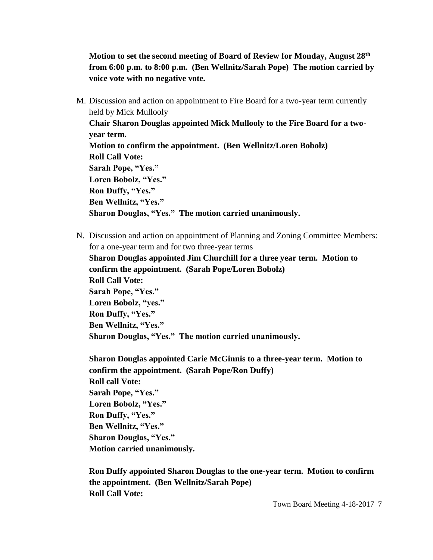**Motion to set the second meeting of Board of Review for Monday, August 28th from 6:00 p.m. to 8:00 p.m. (Ben Wellnitz/Sarah Pope) The motion carried by voice vote with no negative vote.**

M. Discussion and action on appointment to Fire Board for a two-year term currently held by Mick Mullooly

**Chair Sharon Douglas appointed Mick Mullooly to the Fire Board for a twoyear term. Motion to confirm the appointment. (Ben Wellnitz/Loren Bobolz) Roll Call Vote: Sarah Pope, "Yes." Loren Bobolz, "Yes." Ron Duffy, "Yes." Ben Wellnitz, "Yes." Sharon Douglas, "Yes." The motion carried unanimously.**

N. Discussion and action on appointment of Planning and Zoning Committee Members: for a one-year term and for two three-year terms

**Sharon Douglas appointed Jim Churchill for a three year term. Motion to confirm the appointment. (Sarah Pope/Loren Bobolz) Roll Call Vote: Sarah Pope, "Yes." Loren Bobolz, "yes." Ron Duffy, "Yes." Ben Wellnitz, "Yes." Sharon Douglas, "Yes." The motion carried unanimously.**

**Sharon Douglas appointed Carie McGinnis to a three-year term. Motion to confirm the appointment. (Sarah Pope/Ron Duffy) Roll call Vote: Sarah Pope, "Yes." Loren Bobolz, "Yes." Ron Duffy, "Yes." Ben Wellnitz, "Yes." Sharon Douglas, "Yes." Motion carried unanimously.**

**Ron Duffy appointed Sharon Douglas to the one-year term. Motion to confirm the appointment. (Ben Wellnitz/Sarah Pope) Roll Call Vote:**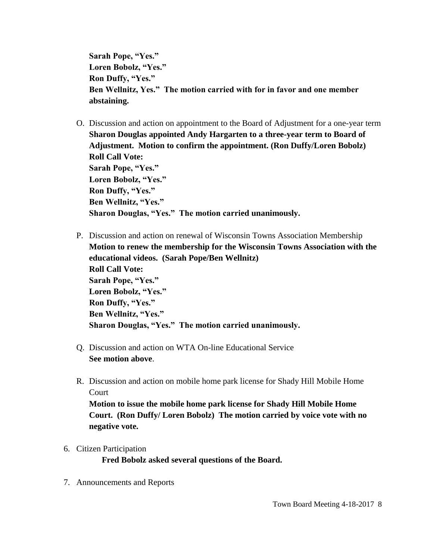**Sarah Pope, "Yes." Loren Bobolz, "Yes." Ron Duffy, "Yes." Ben Wellnitz, Yes." The motion carried with for in favor and one member abstaining.**

- O. Discussion and action on appointment to the Board of Adjustment for a one-year term **Sharon Douglas appointed Andy Hargarten to a three-year term to Board of Adjustment. Motion to confirm the appointment. (Ron Duffy/Loren Bobolz) Roll Call Vote: Sarah Pope, "Yes." Loren Bobolz, "Yes." Ron Duffy, "Yes." Ben Wellnitz, "Yes." Sharon Douglas, "Yes." The motion carried unanimously.**
- P. Discussion and action on renewal of Wisconsin Towns Association Membership **Motion to renew the membership for the Wisconsin Towns Association with the educational videos. (Sarah Pope/Ben Wellnitz) Roll Call Vote: Sarah Pope, "Yes." Loren Bobolz, "Yes." Ron Duffy, "Yes." Ben Wellnitz, "Yes." Sharon Douglas, "Yes." The motion carried unanimously.**
- Q. Discussion and action on WTA On-line Educational Service **See motion above**.
- R. Discussion and action on mobile home park license for Shady Hill Mobile Home Court

**Motion to issue the mobile home park license for Shady Hill Mobile Home Court. (Ron Duffy/ Loren Bobolz) The motion carried by voice vote with no negative vote.**

## 6. Citizen Participation

**Fred Bobolz asked several questions of the Board.**

7. Announcements and Reports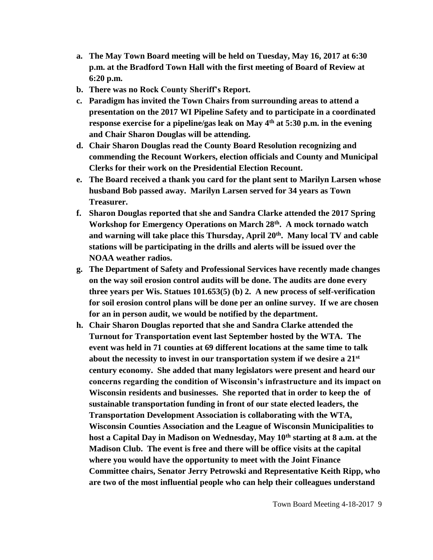- **a. The May Town Board meeting will be held on Tuesday, May 16, 2017 at 6:30 p.m. at the Bradford Town Hall with the first meeting of Board of Review at 6:20 p.m.**
- **b. There was no Rock County Sheriff's Report.**
- **c. Paradigm has invited the Town Chairs from surrounding areas to attend a presentation on the 2017 WI Pipeline Safety and to participate in a coordinated response exercise for a pipeline/gas leak on May 4th at 5:30 p.m. in the evening and Chair Sharon Douglas will be attending.**
- **d. Chair Sharon Douglas read the County Board Resolution recognizing and commending the Recount Workers, election officials and County and Municipal Clerks for their work on the Presidential Election Recount.**
- **e. The Board received a thank you card for the plant sent to Marilyn Larsen whose husband Bob passed away. Marilyn Larsen served for 34 years as Town Treasurer.**
- **f. Sharon Douglas reported that she and Sandra Clarke attended the 2017 Spring Workshop for Emergency Operations on March 28th. A mock tornado watch and warning will take place this Thursday, April 20th. Many local TV and cable stations will be participating in the drills and alerts will be issued over the NOAA weather radios.**
- **g. The Department of Safety and Professional Services have recently made changes on the way soil erosion control audits will be done. The audits are done every three years per Wis. Statues 101.653(5) (b) 2. A new process of self-verification for soil erosion control plans will be done per an online survey. If we are chosen for an in person audit, we would be notified by the department.**
- **h. Chair Sharon Douglas reported that she and Sandra Clarke attended the Turnout for Transportation event last September hosted by the WTA. The event was held in 71 counties at 69 different locations at the same time to talk about the necessity to invest in our transportation system if we desire a 21st century economy. She added that many legislators were present and heard our concerns regarding the condition of Wisconsin's infrastructure and its impact on Wisconsin residents and businesses. She reported that in order to keep the of sustainable transportation funding in front of our state elected leaders, the Transportation Development Association is collaborating with the WTA, Wisconsin Counties Association and the League of Wisconsin Municipalities to host a Capital Day in Madison on Wednesday, May 10th starting at 8 a.m. at the Madison Club. The event is free and there will be office visits at the capital where you would have the opportunity to meet with the Joint Finance Committee chairs, Senator Jerry Petrowski and Representative Keith Ripp, who are two of the most influential people who can help their colleagues understand**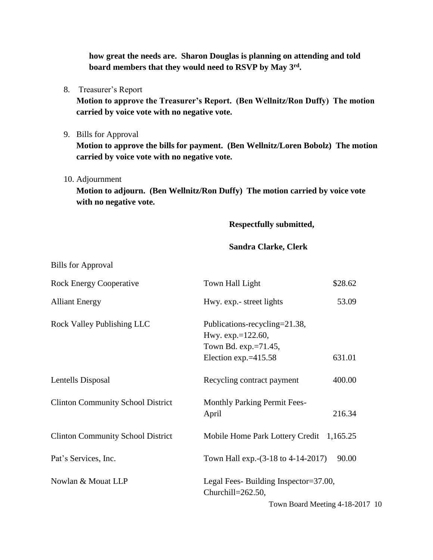**how great the needs are. Sharon Douglas is planning on attending and told board members that they would need to RSVP by May 3rd .**

8. Treasurer's Report

**Motion to approve the Treasurer's Report. (Ben Wellnitz/Ron Duffy) The motion carried by voice vote with no negative vote.**

9. Bills for Approval

**Motion to approve the bills for payment. (Ben Wellnitz/Loren Bobolz) The motion carried by voice vote with no negative vote.**

10. Adjournment

Bills for Approval

**Motion to adjourn. (Ben Wellnitz/Ron Duffy) The motion carried by voice vote with no negative vote.**

**Respectfully submitted,**

## **Sandra Clarke, Clerk**

| $\mu$ <sub>11113</sub> Tot <i>Typroval</i> |                                                                                                       |          |
|--------------------------------------------|-------------------------------------------------------------------------------------------------------|----------|
| <b>Rock Energy Cooperative</b>             | Town Hall Light                                                                                       | \$28.62  |
| <b>Alliant Energy</b>                      | Hwy. exp.- street lights                                                                              | 53.09    |
| Rock Valley Publishing LLC                 | Publications-recycling=21.38,<br>Hwy. exp.=122.60,<br>Town Bd. exp.=71.45,<br>Election exp. $=415.58$ | 631.01   |
| Lentells Disposal                          | Recycling contract payment                                                                            | 400.00   |
| <b>Clinton Community School District</b>   | <b>Monthly Parking Permit Fees-</b><br>April                                                          | 216.34   |
| <b>Clinton Community School District</b>   | Mobile Home Park Lottery Credit                                                                       | 1,165.25 |
| Pat's Services, Inc.                       | Town Hall exp. - (3-18 to 4-14-2017)                                                                  | 90.00    |
| Nowlan & Mouat LLP                         | Legal Fees-Building Inspector=37.00,<br>Churchill=262.50,                                             |          |
|                                            | Town Board Meeting 4-18-2017 10                                                                       |          |